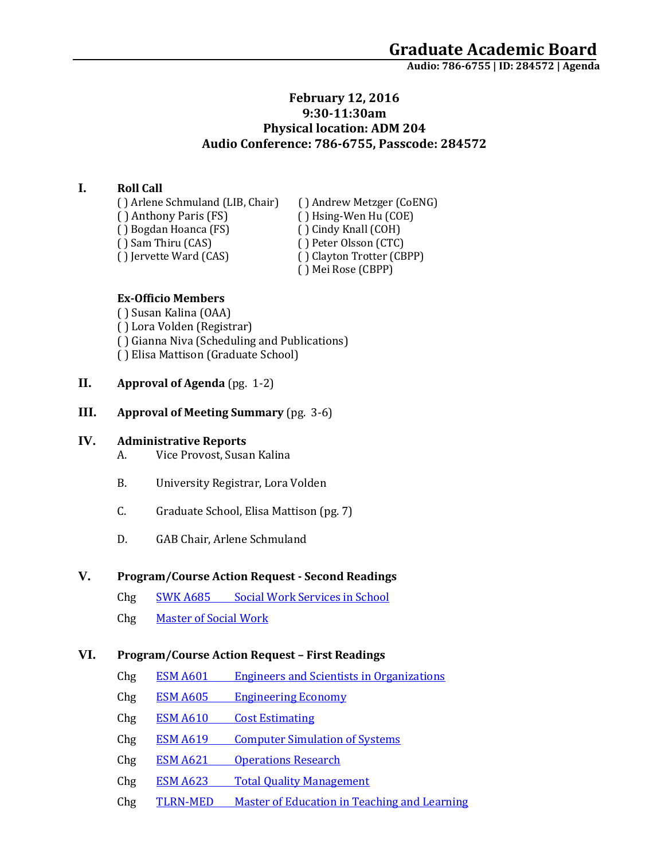# **February 12, 2016 9:30-11:30am Physical location: ADM 204 Audio Conference: 786-6755, Passcode: 284572**

# **I. Roll Call**

( ) Arlene Schmuland (LIB, Chair) ( ) Andrew Metzger (CoENG)<br>( ) Anthony Paris (FS) ( ) Hsing-Wen Hu (COE) ( ) Bogdan Hoanca (FS)<br>( ) Sam Thiru (CAS) ( ) Sam Thiru (CAS) ( ) Peter Olsson (CTC)<br>( ) Jervette Ward (CAS) ( ) Clayton Trotter (CB

( ) Hsing-Wen Hu (COE)<br>( ) Cindy Knall (COH) ( ) Clayton Trotter (CBPP) ( ) Mei Rose (CBPP)

### **Ex-Officio Members**

( ) Susan Kalina (OAA) ( ) Lora Volden (Registrar) ( ) Gianna Niva (Scheduling and Publications) ( ) Elisa Mattison (Graduate School)

- **II. Approval of Agenda** (pg. 1-2)
- **III. Approval of Meeting Summary** (pg. 3-6)

# **IV. Administrative Reports**

- A. Vice Provost, Susan Kalina
- B. University Registrar, Lora Volden
- C. Graduate School, Elisa Mattison (pg. 7)
- D. GAB Chair, Arlene Schmuland

# **V. Program/Course Action Request - Second Readings**

- Chg SWK A685 Social [Work Services in School](https://nextcatalog.uaa.alaska.edu/courseleaf/courseleaf.cgi?page=/courseadmin/5970/index.html&step=tcadiff)
- Chg [Master of Social Work](https://nextcatalog.uaa.alaska.edu/courseleaf/courseleaf.cgi?page=/programadmin/42/index.html&step=tcadiff)

### **VI. Program/Course Action Request – First Readings**

- Chg ESM A601 [Engineers and Scientists in Organizations](https://nextcatalog.uaa.alaska.edu/courseleaf/courseleaf.cgi?page=/courseadmin/3291/index.html&step=tcadiff)
- Chg ESM A605 [Engineering Economy](https://nextcatalog.uaa.alaska.edu/courseleaf/courseleaf.cgi?page=/courseadmin/3185/index.html&step=tcadiff)
- Chg ESM A610 [Cost Estimating](https://nextcatalog.uaa.alaska.edu/courseleaf/courseleaf.cgi?page=/courseadmin/3189/index.html&step=tcadiff)
- Chg ESM A619 [Computer Simulation of Systems](https://nextcatalog.uaa.alaska.edu/courseleaf/courseleaf.cgi?page=/courseadmin/3193/index.html&step=tcadiff)
- Chg ESM A621 [Operations Research](https://nextcatalog.uaa.alaska.edu/courseleaf/courseleaf.cgi?page=/courseadmin/3195/index.html&step=tcadiff)
- Chg ESM A623 [Total Quality Management](https://nextcatalog.uaa.alaska.edu/courseleaf/courseleaf.cgi?page=/courseadmin/3197/index.html&step=tcadiff)
- Chg TLRN-MED [Master of Education in Teaching and Learning](https://nextcatalog.uaa.alaska.edu/courseleaf/courseleaf.cgi?page=/programadmin/21/index.html&step=tcadiff)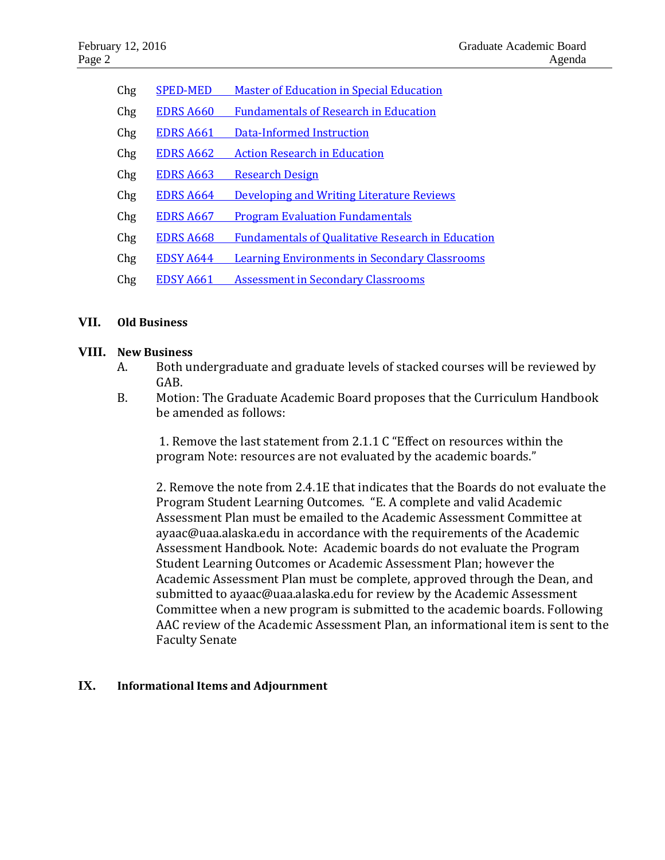| Chg | <b>SPED-MED</b>  | <b>Master of Education in Special Education</b>          |
|-----|------------------|----------------------------------------------------------|
| Chg | <b>EDRS A660</b> | <b>Fundamentals of Research in Education</b>             |
| Chg | <b>EDRS A661</b> | Data-Informed Instruction                                |
| Chg | <b>EDRS A662</b> | <b>Action Research in Education</b>                      |
| Chg | <b>EDRS A663</b> | <b>Research Design</b>                                   |
| Chg | <b>EDRS A664</b> | Developing and Writing Literature Reviews                |
| Chg | <b>EDRS A667</b> | <b>Program Evaluation Fundamentals</b>                   |
| Chg | <b>EDRS A668</b> | <b>Fundamentals of Qualitative Research in Education</b> |
| Chg | <b>EDSY A644</b> | <b>Learning Environments in Secondary Classrooms</b>     |
| Chg | <b>EDSY A661</b> | <b>Assessment in Secondary Classrooms</b>                |

### **VII. Old Business**

#### **VIII. New Business**

- A. Both undergraduate and graduate levels of stacked courses will be reviewed by GAB.
- B. Motion: The Graduate Academic Board proposes that the Curriculum Handbook be amended as follows:

1. Remove the last statement from 2.1.1 C "Effect on resources within the program Note: resources are not evaluated by the academic boards."

2. Remove the note from 2.4.1E that indicates that the Boards do not evaluate the Program Student Learning Outcomes. "E. A complete and valid Academic Assessment Plan must be emailed to the Academic Assessment Committee at ayaac@uaa.alaska.edu in accordance with the requirements of the Academic Assessment Handbook. Note: Academic boards do not evaluate the Program Student Learning Outcomes or Academic Assessment Plan; however the Academic Assessment Plan must be complete, approved through the Dean, and submitted to ayaac@uaa.alaska.edu for review by the Academic Assessment Committee when a new program is submitted to the academic boards. Following AAC review of the Academic Assessment Plan, an informational item is sent to the Faculty Senate

### **IX. Informational Items and Adjournment**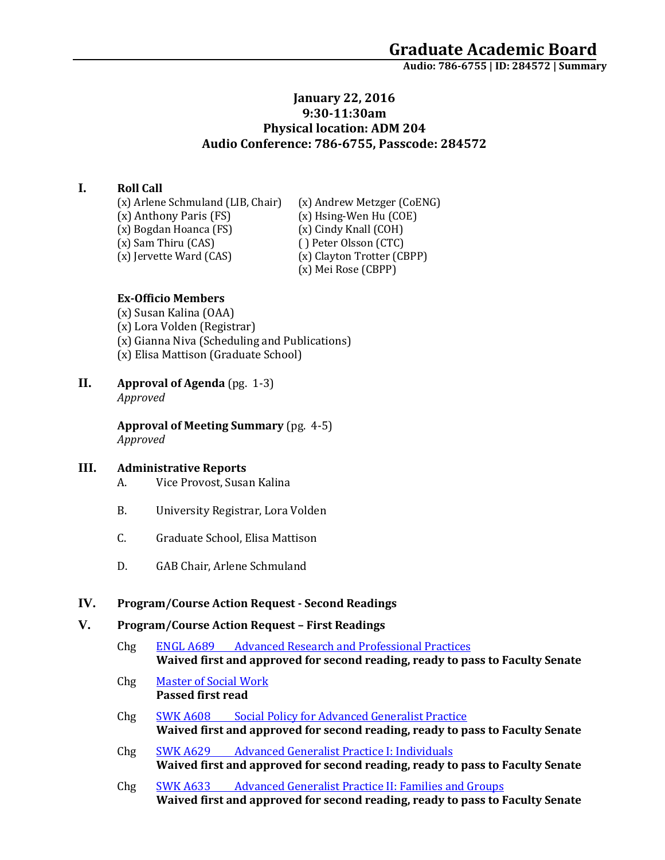# **January 22, 2016 9:30-11:30am Physical location: ADM 204 Audio Conference: 786-6755, Passcode: 284572**

### **I. Roll Call**

(x) Arlene Schmuland (LIB, Chair) (x) Andrew Metzger (CoENG)<br>(x) Anthony Paris (FS) (x) Hsing-Wen Hu (COE) (x) Bogdan Hoanca (FS)  $(x)$  Sam Thiru (CAS) (x) Sam Thiru (CAS) (3) Peter Olsson (CTC)<br>(x) Jervette Ward (CAS) (3) Clayton Trotter (CI

(x) Hsing-Wen Hu (COE)<br>(x) Cindy Knall (COH) (x) Clayton Trotter (CBPP) (x) Mei Rose (CBPP)

#### **Ex-Officio Members**

(x) Susan Kalina (OAA) (x) Lora Volden (Registrar) (x) Gianna Niva (Scheduling and Publications) (x) Elisa Mattison (Graduate School)

**II. Approval of Agenda** (pg. 1-3) *Approved*

> **Approval of Meeting Summary** (pg. 4-5) *Approved*

#### **III. Administrative Reports**

- A. Vice Provost, Susan Kalina
- B. University Registrar, Lora Volden
- C. Graduate School, Elisa Mattison
- D. GAB Chair, Arlene Schmuland

#### **IV. Program/Course Action Request - Second Readings**

### **V. Program/Course Action Request – First Readings**

- Chg ENGL A689 [Advanced Research and Professional Practices](https://nextcatalog.uaa.alaska.edu/courseleaf/courseleaf.cgi?page=/courseadmin/3109/index.html&step=tcadiff) **Waived first and approved for second reading, ready to pass to Faculty Senate**
- Chg [Master of Social Work](https://nextcatalog.uaa.alaska.edu/courseleaf/courseleaf.cgi?page=/programadmin/42/index.html&step=tcadiff) **Passed first read**
- Chg SWK A608 [Social Policy for Advanced Generalist Practice](https://nextcatalog.uaa.alaska.edu/courseleaf/courseleaf.cgi?page=/courseadmin/5908/index.html&step=tcadiff) **Waived first and approved for second reading, ready to pass to Faculty Senate**
- Chg SWK A629 [Advanced Generalist Practice I: Individuals](https://nextcatalog.uaa.alaska.edu/courseleaf/courseleaf.cgi?page=/courseadmin/5912/index.html&step=tcadiff) **Waived first and approved for second reading, ready to pass to Faculty Senate**
- Chg SWK A633 [Advanced Generalist Practice II: Families and Groups](https://nextcatalog.uaa.alaska.edu/courseleaf/courseleaf.cgi?page=/courseadmin/5920/index.html&step=tcadiff) **Waived first and approved for second reading, ready to pass to Faculty Senate**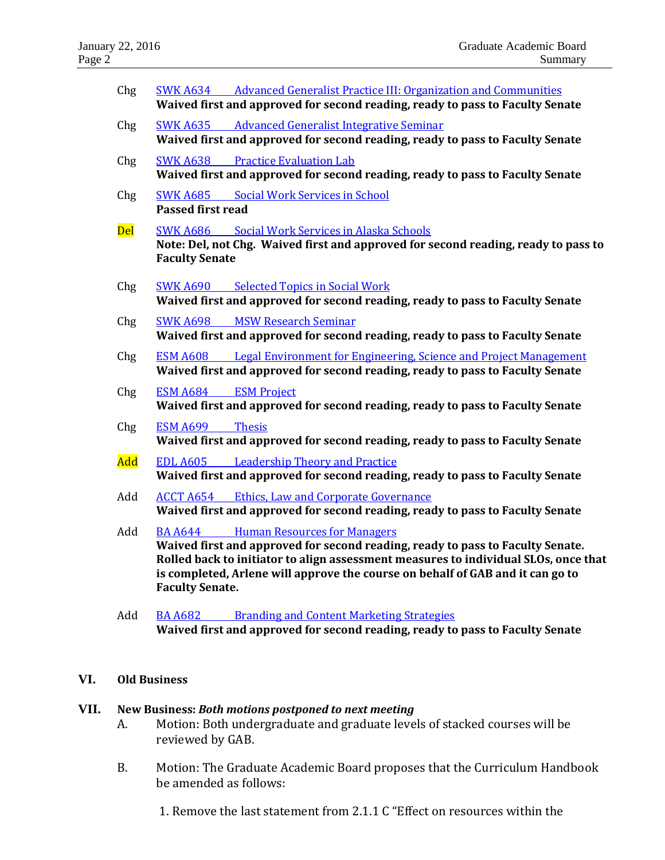| Chg        |                                          | <b>SWK A634</b> Advanced Generalist Practice III: Organization and Communities<br>Waived first and approved for second reading, ready to pass to Faculty Senate                                                                                                                                        |
|------------|------------------------------------------|--------------------------------------------------------------------------------------------------------------------------------------------------------------------------------------------------------------------------------------------------------------------------------------------------------|
| Chg        |                                          | <b>SWK A635</b> Advanced Generalist Integrative Seminar<br>Waived first and approved for second reading, ready to pass to Faculty Senate                                                                                                                                                               |
| Chg        | <b>SWK A638</b>                          | <b>Practice Evaluation Lab</b><br>Waived first and approved for second reading, ready to pass to Faculty Senate                                                                                                                                                                                        |
| Chg        | <b>Passed first read</b>                 | <b>SWK A685</b> Social Work Services in School                                                                                                                                                                                                                                                         |
| <b>Del</b> | <b>SWK A686</b><br><b>Faculty Senate</b> | <b>Social Work Services in Alaska Schools</b><br>Note: Del, not Chg. Waived first and approved for second reading, ready to pass to                                                                                                                                                                    |
| Chg        |                                          | <b>SWK A690</b> Selected Topics in Social Work<br>Waived first and approved for second reading, ready to pass to Faculty Senate                                                                                                                                                                        |
| Chg        | <b>SWK A698</b>                          | <b>MSW Research Seminar</b><br>Waived first and approved for second reading, ready to pass to Faculty Senate                                                                                                                                                                                           |
| Chg        | <b>ESM A608</b>                          | Legal Environment for Engineering, Science and Project Management<br>Waived first and approved for second reading, ready to pass to Faculty Senate                                                                                                                                                     |
| Chg        | <b>ESM A684</b>                          | <b>ESM Project</b><br>Waived first and approved for second reading, ready to pass to Faculty Senate                                                                                                                                                                                                    |
| Chg        | <b>ESM A699</b>                          | <b>Thesis</b><br>Waived first and approved for second reading, ready to pass to Faculty Senate                                                                                                                                                                                                         |
| Add        | <b>EDL A605</b>                          | <b>Leadership Theory and Practice</b><br>Waived first and approved for second reading, ready to pass to Faculty Senate                                                                                                                                                                                 |
| Add        |                                          | <b>ACCT A654</b> Ethics, Law and Corporate Governance<br>Waived first and approved for second reading, ready to pass to Faculty Senate                                                                                                                                                                 |
| Add        | <b>Faculty Senate.</b>                   | <b>BA A644</b> Human Resources for Managers<br>Waived first and approved for second reading, ready to pass to Faculty Senate.<br>Rolled back to initiator to align assessment measures to individual SLOs, once that<br>is completed, Arlene will approve the course on behalf of GAB and it can go to |

Add BA A682 [Branding and Content Marketing Strategies](https://nextcatalog.uaa.alaska.edu/courseleaf/courseleaf.cgi?page=/courseadmin/6440/index.html&step=tcadiff) **Waived first and approved for second reading, ready to pass to Faculty Senate**

# **VI. Old Business**

# **VII. New Business:** *Both motions postponed to next meeting*

- A. Motion: Both undergraduate and graduate levels of stacked courses will be reviewed by GAB.
- B. Motion: The Graduate Academic Board proposes that the Curriculum Handbook be amended as follows:
	- 1. Remove the last statement from 2.1.1 C "Effect on resources within the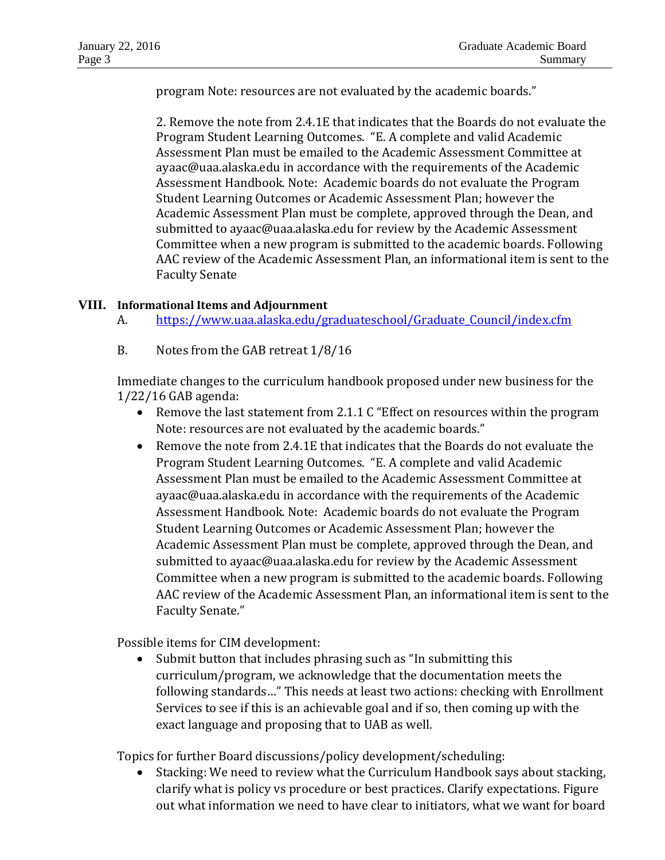program Note: resources are not evaluated by the academic boards."

2. Remove the note from 2.4.1E that indicates that the Boards do not evaluate the Program Student Learning Outcomes. "E. A complete and valid Academic Assessment Plan must be emailed to the Academic Assessment Committee at ayaac@uaa.alaska.edu in accordance with the requirements of the Academic Assessment Handbook. Note: Academic boards do not evaluate the Program Student Learning Outcomes or Academic Assessment Plan; however the Academic Assessment Plan must be complete, approved through the Dean, and submitted to ayaac@uaa.alaska.edu for review by the Academic Assessment Committee when a new program is submitted to the academic boards. Following AAC review of the Academic Assessment Plan, an informational item is sent to the Faculty Senate

### **VIII. Informational Items and Adjournment**

- A. [https://www.uaa.alaska.edu/graduateschool/Graduate\\_Council/index.cfm](https://www.uaa.alaska.edu/graduateschool/Graduate_Council/index.cfm)
- B. Notes from the GAB retreat 1/8/16

Immediate changes to the curriculum handbook proposed under new business for the 1/22/16 GAB agenda:

- Remove the last statement from 2.1.1 C "Effect on resources within the program Note: resources are not evaluated by the academic boards."
- Remove the note from 2.4.1E that indicates that the Boards do not evaluate the Program Student Learning Outcomes. "E. A complete and valid Academic Assessment Plan must be emailed to the Academic Assessment Committee at ayaac@uaa.alaska.edu in accordance with the requirements of the Academic Assessment Handbook. Note: Academic boards do not evaluate the Program Student Learning Outcomes or Academic Assessment Plan; however the Academic Assessment Plan must be complete, approved through the Dean, and submitted to ayaac@uaa.alaska.edu for review by the Academic Assessment Committee when a new program is submitted to the academic boards. Following AAC review of the Academic Assessment Plan, an informational item is sent to the Faculty Senate."

Possible items for CIM development:

• Submit button that includes phrasing such as "In submitting this curriculum/program, we acknowledge that the documentation meets the following standards…" This needs at least two actions: checking with Enrollment Services to see if this is an achievable goal and if so, then coming up with the exact language and proposing that to UAB as well.

Topics for further Board discussions/policy development/scheduling:

• Stacking: We need to review what the Curriculum Handbook says about stacking, clarify what is policy vs procedure or best practices. Clarify expectations. Figure out what information we need to have clear to initiators, what we want for board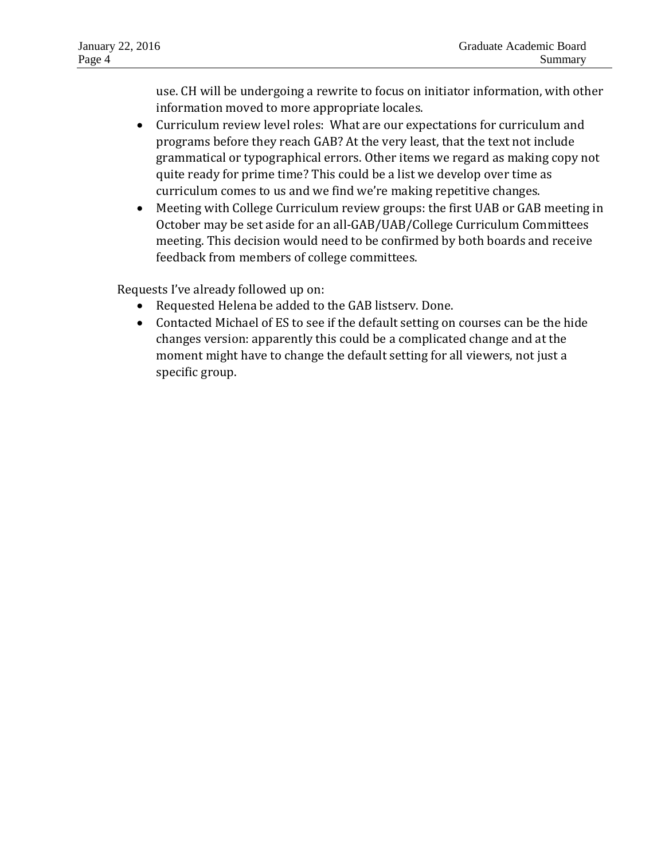use. CH will be undergoing a rewrite to focus on initiator information, with other information moved to more appropriate locales.

- Curriculum review level roles: What are our expectations for curriculum and programs before they reach GAB? At the very least, that the text not include grammatical or typographical errors. Other items we regard as making copy not quite ready for prime time? This could be a list we develop over time as curriculum comes to us and we find we're making repetitive changes.
- Meeting with College Curriculum review groups: the first UAB or GAB meeting in October may be set aside for an all-GAB/UAB/College Curriculum Committees meeting. This decision would need to be confirmed by both boards and receive feedback from members of college committees.

Requests I've already followed up on:<br>• Requested Helena be added to

- Requested Helena be added to the GAB listserv. Done.
- Contacted Michael of ES to see if the default setting on courses can be the hide changes version: apparently this could be a complicated change and at the moment might have to change the default setting for all viewers, not just a specific group.